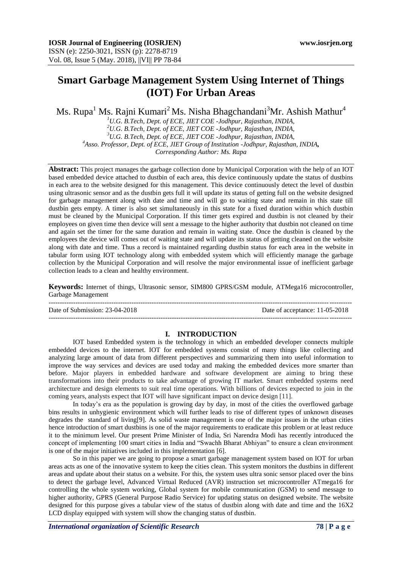# **Smart Garbage Management System Using Internet of Things (IOT) For Urban Areas**

Ms. Rupa<sup>1</sup> Ms. Rajni Kumari<sup>2</sup> Ms. Nisha Bhagchandani<sup>3</sup> Mr. Ashish Mathur<sup>4</sup>

*U.G. B.Tech, Dept. of ECE, JIET COE -Jodhpur, Rajasthan, INDIA, U.G. B.Tech, Dept. of ECE, JIET COE -Jodhpur, Rajasthan, INDIA, U.G. B.Tech, Dept. of ECE, JIET COE -Jodhpur, Rajasthan, INDIA, Asso. Professor, Dept. of ECE, JIET Group of Institution -Jodhpur, Rajasthan, INDIA, Corresponding Author: Ms. Rapa*

**Abstract:** This project manages the garbage collection done by Municipal Corporation with the help of an IOT based embedded device attached to dustbin of each area, this device continuously update the status of dustbins in each area to the website designed for this management. This device continuously detect the level of dustbin using ultrasonic sensor and as the dustbin gets full it will update its status of getting full on the website designed for garbage management along with date and time and will go to waiting state and remain in this state till dustbin gets empty. A timer is also set simultaneously in this state for a fixed duration within which dustbin must be cleaned by the Municipal Corporation. If this timer gets expired and dustbin is not cleaned by their employees on given time then device will sent a message to the higher authority that dustbin not cleaned on time and again set the timer for the same duration and remain in waiting state. Once the dustbin is cleaned by the employees the device will comes out of waiting state and will update its status of getting cleaned on the website along with date and time. Thus a record is maintained regarding dustbin status for each area in the website in tabular form using IOT technology along with embedded system which will efficiently manage the garbage collection by the Municipal Corporation and will resolve the major environmental issue of inefficient garbage collection leads to a clean and healthy environment.

**Keywords:** Internet of things, Ultrasonic sensor, SIM800 GPRS/GSM module, ATMega16 microcontroller, Garbage Management

--------------------------------------------------------------------------------------------------------------------------------------- Date of Submission: 23-04-2018 Date of acceptance: 11-05-2018 ---------------------------------------------------------------------------------------------------------------------------------------

#### **I. INTRODUCTION**

IOT based Embedded system is the technology in which an embedded developer connects multiple embedded devices to the internet. IOT for embedded systems consist of many things like collecting and analyzing large amount of data from different perspectives and summarizing them into useful information to improve the way services and devices are used today and making the embedded devices more smarter than before. Major players in embedded hardware and software development are aiming to bring these transformations into their products to take advantage of growing IT market. Smart embedded systems need architecture and design elements to suit real time operations. With billions of devices expected to join in the coming years, analysts expect that IOT will have significant impact on device design [11].

In today's era as the population is growing day by day, in most of the cities the overflowed garbage bins results in unhygienic environment which will further leads to rise of different types of unknown diseases degrades the standard of living[9]. As solid waste management is one of the major issues in the urban cities hence introduction of smart dustbins is one of the major requirements to eradicate this problem or at least reduce it to the minimum level. Our present Prime Minister of India, Sri Narendra Modi has recently introduced the concept of implementing 100 smart cities in India and "Swachh Bharat Abhiyan" to ensure a clean environment is one of the major initiatives included in this implementation [6].

So in this paper we are going to propose a smart garbage management system based on IOT for urban areas acts as one of the innovative system to keep the cities clean. This system monitors the dustbins in different areas and update about their status on a website. For this, the system uses ultra sonic sensor placed over the bins to detect the garbage level, Advanced Virtual Reduced (AVR) instruction set microcontroller ATmega16 for controlling the whole system working, Global system for mobile communication (GSM) to send message to higher authority, GPRS (General Purpose Radio Service) for updating status on designed website. The website designed for this purpose gives a tabular view of the status of dustbin along with date and time and the 16X2 LCD display equipped with system will show the changing status of dustbin.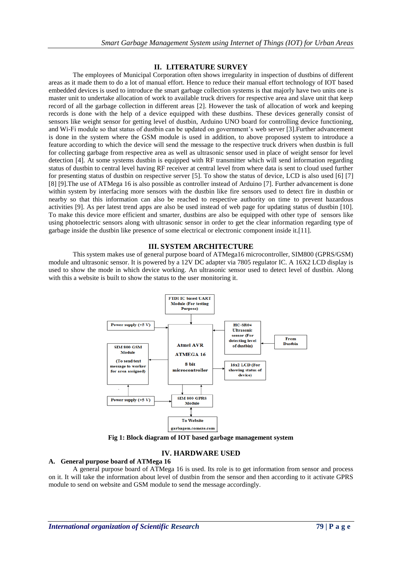## **II. LITERATURE SURVEY**

The employees of Municipal Corporation often shows irregularity in inspection of dustbins of different areas as it made them to do a lot of manual effort. Hence to reduce their manual effort technology of IOT based embedded devices is used to introduce the smart garbage collection systems is that majorly have two units one is master unit to undertake allocation of work to available truck drivers for respective area and slave unit that keep record of all the garbage collection in different areas [2]. However the task of allocation of work and keeping records is done with the help of a device equipped with these dustbins. These devices generally consist of sensors like weight sensor for getting level of dustbin, Arduino UNO board for controlling device functioning, and Wi-Fi module so that status of dustbin can be updated on government's web server [3].Further advancement is done in the system where the GSM module is used in addition, to above proposed system to introduce a feature according to which the device will send the message to the respective truck drivers when dustbin is full for collecting garbage from respective area as well as ultrasonic sensor used in place of weight sensor for level detection [4]. At some systems dustbin is equipped with RF transmitter which will send information regarding status of dustbin to central level having RF receiver at central level from where data is sent to cloud used further for presenting status of dustbin on respective server [5]. To show the status of device, LCD is also used [6] [7] [8] [9].The use of ATMega 16 is also possible as controller instead of Arduino [7]. Further advancement is done within system by interfacing more sensors with the dustbin like fire sensors used to detect fire in dustbin or nearby so that this information can also be reached to respective authority on time to prevent hazardous activities [9]. As per latest trend apps are also be used instead of web page for updating status of dustbin [10]. To make this device more efficient and smarter, dustbins are also be equipped with other type of sensors like using photoelectric sensors along with ultrasonic sensor in order to get the clear information regarding type of garbage inside the dustbin like presence of some electrical or electronic component inside it.[11].

# **III. SYSTEM ARCHITECTURE**

This system makes use of general purpose board of ATMega16 microcontroller, SIM800 (GPRS/GSM) module and ultrasonic sensor. It is powered by a 12V DC adapter via 7805 regulator IC. A 16X2 LCD display is used to show the mode in which device working. An ultrasonic sensor used to detect level of dustbin. Along with this a website is built to show the status to the user monitoring it.



**Fig 1: Block diagram of IOT based garbage management system**

# **IV. HARDWARE USED**

## **A. General purpose board of ATMega 16**

A general purpose board of ATMega 16 is used. Its role is to get information from sensor and process on it. It will take the information about level of dustbin from the sensor and then according to it activate GPRS module to send on website and GSM module to send the message accordingly.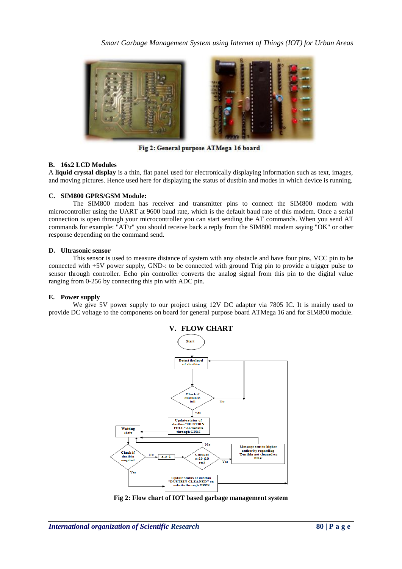

Fig 2: General purpose ATMega 16 board

## **B. 16x2 LCD Modules**

A **liquid crystal display** is a thin, flat panel used for electronically displaying information such as text, images, and moving pictures. Hence used here for displaying the status of dustbin and modes in which device is running.

### **C. SIM800 GPRS/GSM Module:**

The SIM800 modem has receiver and transmitter pins to connect the SIM800 modem with microcontroller using the UART at 9600 baud rate, which is the default baud rate of this modem. Once a serial connection is open through your microcontroller you can start sending the AT commands. When you send AT commands for example: "AT\r" you should receive back a reply from the SIM800 modem saying "OK" or other response depending on the command send.

#### **D. Ultrasonic sensor**

This sensor is used to measure distance of system with any obstacle and have four pins, VCC pin to be connected with +5V power supply, GND-: to be connected with ground Trig pin to provide a trigger pulse to sensor through controller. Echo pin controller converts the analog signal from this pin to the digital value ranging from 0-256 by connecting this pin with ADC pin.

#### **E. Power supply**

We give 5V power supply to our project using 12V DC adapter via 7805 IC. It is mainly used to provide DC voltage to the components on board for general purpose board ATMega 16 and for SIM800 module.



**Fig 2: Flow chart of IOT based garbage management system**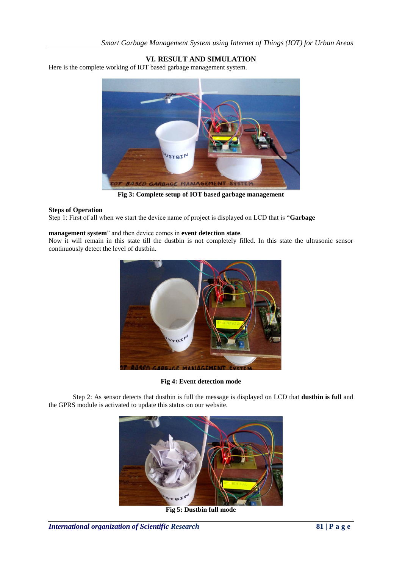# **VI. RESULT AND SIMULATION**

Here is the complete working of IOT based garbage management system.



**Fig 3: Complete setup of IOT based garbage management**

#### **Steps of Operation**

Step 1: First of all when we start the device name of project is displayed on LCD that is "**Garbage** 

#### **management system**" and then device comes in **event detection state**.

Now it will remain in this state till the dustbin is not completely filled. In this state the ultrasonic sensor continuously detect the level of dustbin.



**Fig 4: Event detection mode**

Step 2: As sensor detects that dustbin is full the message is displayed on LCD that **dustbin is full** and the GPRS module is activated to update this status on our website.



**Fig 5: Dustbin full mode**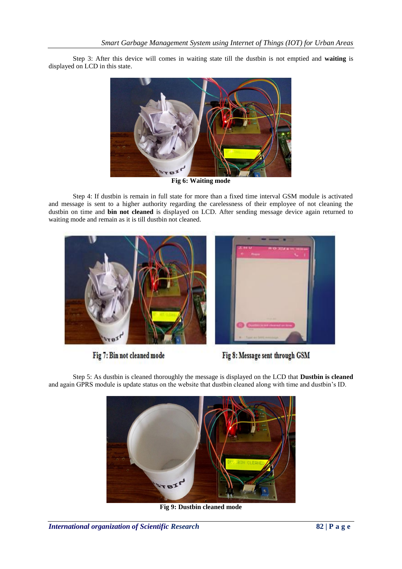Step 3: After this device will comes in waiting state till the dustbin is not emptied and **waiting** is displayed on LCD in this state.



**Fig 6: Waiting mode**

Step 4: If dustbin is remain in full state for more than a fixed time interval GSM module is activated and message is sent to a higher authority regarding the carelessness of their employee of not cleaning the dustbin on time and **bin not cleaned** is displayed on LCD. After sending message device again returned to waiting mode and remain as it is till dustbin not cleaned.



Fig 7: Bin not cleaned mode



Step 5: As dustbin is cleaned thoroughly the message is displayed on the LCD that **Dustbin is cleaned** and again GPRS module is update status on the website that dustbin cleaned along with time and dustbin's ID.



**Fig 9: Dustbin cleaned mode**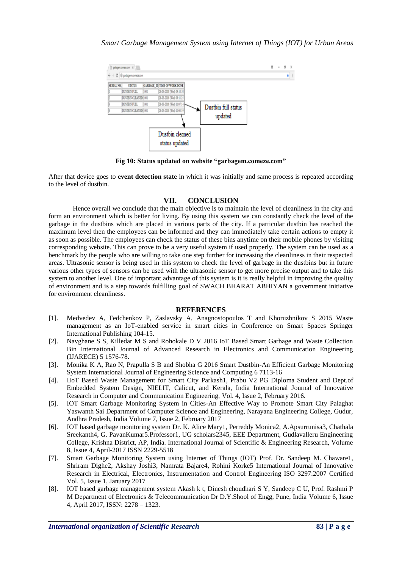

**Fig 10: Status updated on website "garbagem.comeze.com"**

After that device goes to **event detection state** in which it was initially and same process is repeated according to the level of dustbin.

# **VII. CONCLUSION**

Hence overall we conclude that the main objective is to maintain the level of cleanliness in the city and form an environment which is better for living. By using this system we can constantly check the level of the garbage in the dustbins which are placed in various parts of the city. If a particular dustbin has reached the maximum level then the employees can be informed and they can immediately take certain actions to empty it as soon as possible. The employees can check the status of these bins anytime on their mobile phones by visiting corresponding website. This can prove to be a very useful system if used properly. The system can be used as a benchmark by the people who are willing to take one step further for increasing the cleanliness in their respected areas. Ultrasonic sensor is being used in this system to check the level of garbage in the dustbins but in future various other types of sensors can be used with the ultrasonic sensor to get more precise output and to take this system to another level. One of important advantage of this system is it is really helpful in improving the quality of environment and is a step towards fulfilling goal of SWACH BHARAT ABHIYAN a government initiative for environment cleanliness.

#### **REFERENCES**

- [1]. Medvedev A, Fedchenkov P, Zaslavsky A, Anagnostopoulos T and Khoruzhnikov S 2015 Waste management as an IoT-enabled service in smart cities in Conference on Smart Spaces Springer International Publishing 104-15.
- [2]. Navghane S S, Killedar M S and Rohokale D V 2016 IoT Based Smart Garbage and Waste Collection Bin International Journal of Advanced Research in Electronics and Communication Engineering (IJARECE) 5 1576-78.
- [3]. Monika K A, Rao N, Prapulla S B and Shobha G 2016 Smart Dustbin-An Efficient Garbage Monitoring System International Journal of Engineering Science and Computing 6 7113-16
- [4]. IIoT Based Waste Management for Smart City Parkash1, Prabu V2 PG Diploma Student and Dept.of Embedded System Design, NIELIT, Calicut, and Kerala, India International Journal of Innovative Research in Computer and Communication Engineering, Vol. 4, Issue 2, February 2016.
- [5]. IOT Smart Garbage Monitoring System in Cities-An Effective Way to Promote Smart City Palaghat Yaswanth Sai Department of Computer Science and Engineering, Narayana Engineering College, Gudur, Andhra Pradesh, India Volume 7, Issue 2, February 2017
- [6]. IOT based garbage monitoring system Dr. K. Alice Mary1, Perreddy Monica2, A.Apsurrunisa3, Chathala Sreekanth4, G. PavanKumar5.Professor1, UG scholars2345, EEE Department, Gudlavalleru Engineering College, Krishna District, AP, India. International Journal of Scientific & Engineering Research, Volume 8, Issue 4, April-2017 ISSN 2229-5518
- [7]. Smart Garbage Monitoring System using Internet of Things (IOT) Prof. Dr. Sandeep M. Chaware1, Shriram Dighe2, Akshay Joshi3, Namrata Bajare4, Rohini Korke5 International Journal of Innovative Research in Electrical, Electronics, Instrumentation and Control Engineering ISO 3297:2007 Certified Vol. 5, Issue 1, January 2017
- [8]. IOT based garbage management system Akash k t, Dinesh choudhari S Y, Sandeep C U, Prof. Rashmi P M Department of Electronics & Telecommunication Dr D.Y.Shool of Engg, Pune, India Volume 6, Issue 4, April 2017, ISSN: 2278 – 1323.